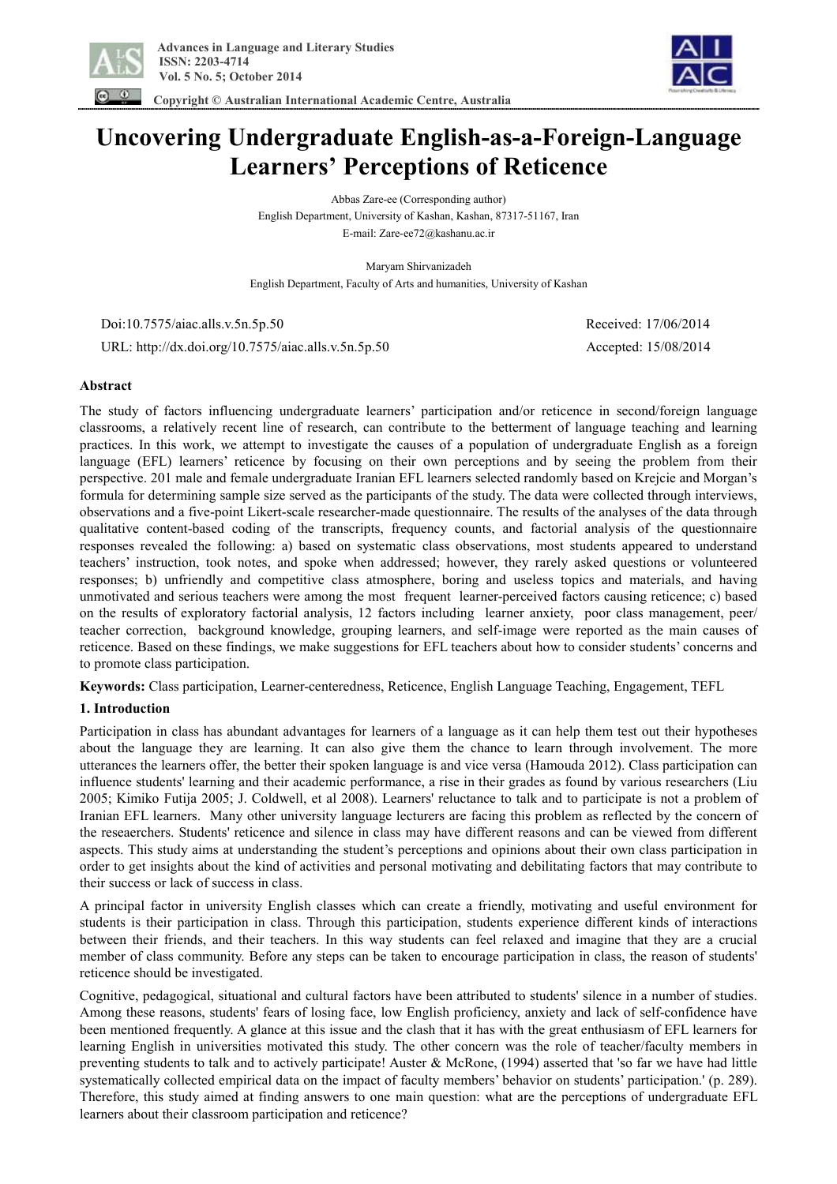

 **Copyright © Australian International Academic Centre, Australia** 

**Uncovering Undergraduate English-as-a-Foreign-Language Learners' Perceptions of Reticence** 

> Abbas Zare-ee (Corresponding author) English Department, University of Kashan, Kashan, 87317-51167, Iran E-mail: Zare-ee72@kashanu.ac.ir

Maryam Shirvanizadeh English Department, Faculty of Arts and humanities, University of Kashan

 Doi:10.7575/aiac.alls.v.5n.5p.50 Received: 17/06/2014 URL: http://dx.doi.org/10.7575/aiac.alls.v.5n.5p.50 Accepted: 15/08/2014

# **Abstract**

The study of factors influencing undergraduate learners' participation and/or reticence in second/foreign language classrooms, a relatively recent line of research, can contribute to the betterment of language teaching and learning practices. In this work, we attempt to investigate the causes of a population of undergraduate English as a foreign language (EFL) learners' reticence by focusing on their own perceptions and by seeing the problem from their perspective. 201 male and female undergraduate Iranian EFL learners selected randomly based on Krejcie and Morgan's formula for determining sample size served as the participants of the study. The data were collected through interviews, observations and a five-point Likert-scale researcher-made questionnaire. The results of the analyses of the data through qualitative content-based coding of the transcripts, frequency counts, and factorial analysis of the questionnaire responses revealed the following: a) based on systematic class observations, most students appeared to understand teachers' instruction, took notes, and spoke when addressed; however, they rarely asked questions or volunteered responses; b) unfriendly and competitive class atmosphere, boring and useless topics and materials, and having unmotivated and serious teachers were among the most frequent learner-perceived factors causing reticence; c) based on the results of exploratory factorial analysis, 12 factors including learner anxiety, poor class management, peer/ teacher correction, background knowledge, grouping learners, and self-image were reported as the main causes of reticence. Based on these findings, we make suggestions for EFL teachers about how to consider students' concerns and to promote class participation.

**Keywords:** Class participation, Learner-centeredness, Reticence, English Language Teaching, Engagement, TEFL

# **1. Introduction**

Participation in class has abundant advantages for learners of a language as it can help them test out their hypotheses about the language they are learning. It can also give them the chance to learn through involvement. The more utterances the learners offer, the better their spoken language is and vice versa (Hamouda 2012). Class participation can influence students' learning and their academic performance, a rise in their grades as found by various researchers (Liu 2005; Kimiko Futija 2005; J. Coldwell, et al 2008). Learners' reluctance to talk and to participate is not a problem of Iranian EFL learners. Many other university language lecturers are facing this problem as reflected by the concern of the reseaerchers. Students' reticence and silence in class may have different reasons and can be viewed from different aspects. This study aims at understanding the student's perceptions and opinions about their own class participation in order to get insights about the kind of activities and personal motivating and debilitating factors that may contribute to their success or lack of success in class.

A principal factor in university English classes which can create a friendly, motivating and useful environment for students is their participation in class. Through this participation, students experience different kinds of interactions between their friends, and their teachers. In this way students can feel relaxed and imagine that they are a crucial member of class community. Before any steps can be taken to encourage participation in class, the reason of students' reticence should be investigated.

Cognitive, pedagogical, situational and cultural factors have been attributed to students' silence in a number of studies. Among these reasons, students' fears of losing face, low English proficiency, anxiety and lack of self-confidence have been mentioned frequently. A glance at this issue and the clash that it has with the great enthusiasm of EFL learners for learning English in universities motivated this study. The other concern was the role of teacher/faculty members in preventing students to talk and to actively participate! Auster & McRone, (1994) asserted that 'so far we have had little systematically collected empirical data on the impact of faculty members' behavior on students' participation.' (p. 289). Therefore, this study aimed at finding answers to one main question: what are the perceptions of undergraduate EFL learners about their classroom participation and reticence?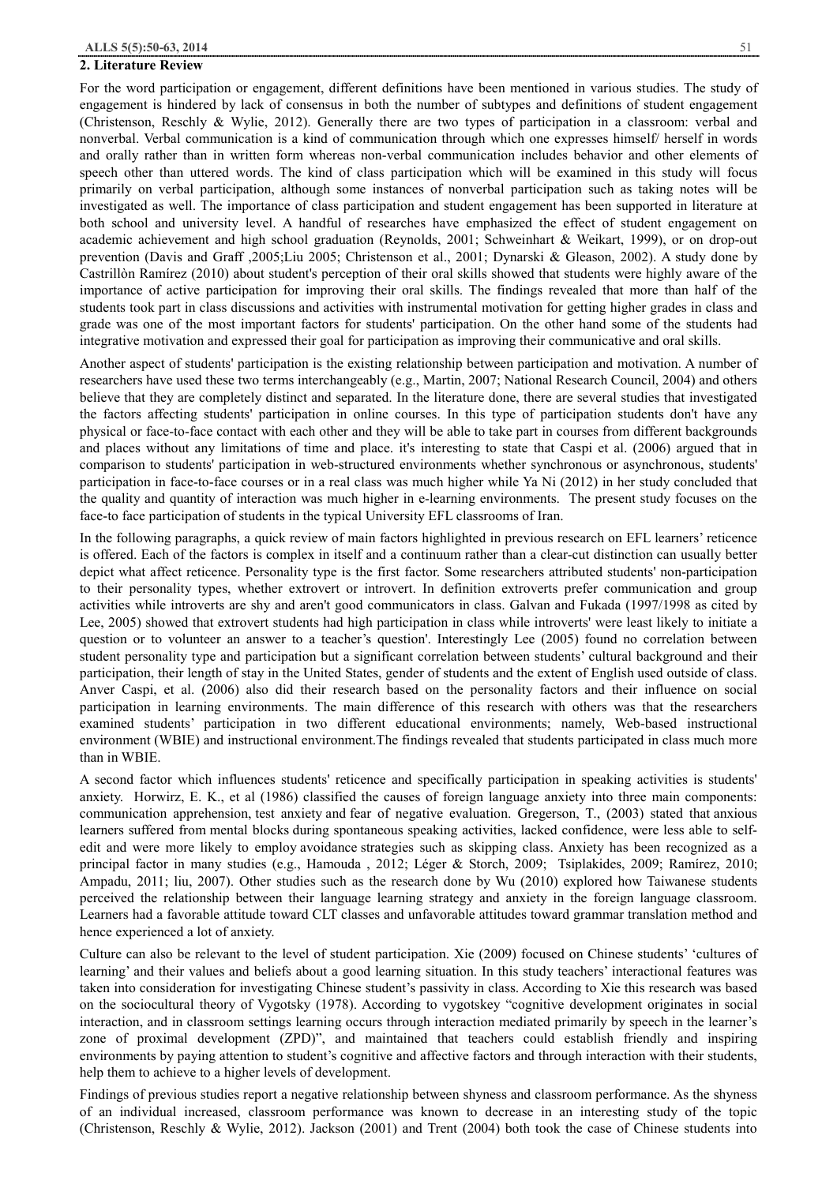#### **2. Literature Review**

For the word participation or engagement, different definitions have been mentioned in various studies. The study of engagement is hindered by lack of consensus in both the number of subtypes and definitions of student engagement (Christenson, Reschly & Wylie, 2012). Generally there are two types of participation in a classroom: verbal and nonverbal. Verbal communication is a kind of communication through which one expresses himself/ herself in words and orally rather than in written form whereas non-verbal communication includes behavior and other elements of speech other than uttered words. The kind of class participation which will be examined in this study will focus primarily on verbal participation, although some instances of nonverbal participation such as taking notes will be investigated as well. The importance of class participation and student engagement has been supported in literature at both school and university level. A handful of researches have emphasized the effect of student engagement on academic achievement and high school graduation (Reynolds, 2001; Schweinhart & Weikart, 1999), or on drop-out prevention (Davis and Graff ,2005;Liu 2005; Christenson et al., 2001; Dynarski & Gleason, 2002). A study done by Castrillòn Ramírez (2010) about student's perception of their oral skills showed that students were highly aware of the importance of active participation for improving their oral skills. The findings revealed that more than half of the students took part in class discussions and activities with instrumental motivation for getting higher grades in class and grade was one of the most important factors for students' participation. On the other hand some of the students had integrative motivation and expressed their goal for participation as improving their communicative and oral skills.

Another aspect of students' participation is the existing relationship between participation and motivation. A number of researchers have used these two terms interchangeably (e.g., Martin, 2007; National Research Council, 2004) and others believe that they are completely distinct and separated. In the literature done, there are several studies that investigated the factors affecting students' participation in online courses. In this type of participation students don't have any physical or face-to-face contact with each other and they will be able to take part in courses from different backgrounds and places without any limitations of time and place. it's interesting to state that Caspi et al. (2006) argued that in comparison to students' participation in web-structured environments whether synchronous or asynchronous, students' participation in face-to-face courses or in a real class was much higher while Ya Ni (2012) in her study concluded that the quality and quantity of interaction was much higher in e-learning environments. The present study focuses on the face-to face participation of students in the typical University EFL classrooms of Iran.

In the following paragraphs, a quick review of main factors highlighted in previous research on EFL learners' reticence is offered. Each of the factors is complex in itself and a continuum rather than a clear-cut distinction can usually better depict what affect reticence. Personality type is the first factor. Some researchers attributed students' non-participation to their personality types, whether extrovert or introvert. In definition extroverts prefer communication and group activities while introverts are shy and aren't good communicators in class. Galvan and Fukada (1997/1998 as cited by Lee, 2005) showed that extrovert students had high participation in class while introverts' were least likely to initiate a question or to volunteer an answer to a teacher's question'. Interestingly Lee (2005) found no correlation between student personality type and participation but a significant correlation between students' cultural background and their participation, their length of stay in the United States, gender of students and the extent of English used outside of class. Anver Caspi, et al. (2006) also did their research based on the personality factors and their influence on social participation in learning environments. The main difference of this research with others was that the researchers examined students' participation in two different educational environments; namely, Web-based instructional environment (WBIE) and instructional environment.The findings revealed that students participated in class much more than in WBIE.

A second factor which influences students' reticence and specifically participation in speaking activities is students' anxiety. Horwirz, E. K., et al (1986) classified the causes of foreign language anxiety into three main components: communication apprehension, test anxiety and fear of negative evaluation. Gregerson, T., (2003) stated that anxious learners suffered from mental blocks during spontaneous speaking activities, lacked confidence, were less able to selfedit and were more likely to employ avoidance strategies such as skipping class. Anxiety has been recognized as a principal factor in many studies (e.g., Hamouda , 2012; Léger & Storch, 2009; Tsiplakides, 2009; Ramírez, 2010; Ampadu, 2011; liu, 2007). Other studies such as the research done by Wu (2010) explored how Taiwanese students perceived the relationship between their language learning strategy and anxiety in the foreign language classroom. Learners had a favorable attitude toward CLT classes and unfavorable attitudes toward grammar translation method and hence experienced a lot of anxiety.

Culture can also be relevant to the level of student participation. Xie (2009) focused on Chinese students' 'cultures of learning' and their values and beliefs about a good learning situation. In this study teachers' interactional features was taken into consideration for investigating Chinese student's passivity in class. According to Xie this research was based on the sociocultural theory of Vygotsky (1978). According to vygotskey "cognitive development originates in social interaction, and in classroom settings learning occurs through interaction mediated primarily by speech in the learner's zone of proximal development (ZPD)", and maintained that teachers could establish friendly and inspiring environments by paying attention to student's cognitive and affective factors and through interaction with their students, help them to achieve to a higher levels of development.

Findings of previous studies report a negative relationship between shyness and classroom performance. As the shyness of an individual increased, classroom performance was known to decrease in an interesting study of the topic (Christenson, Reschly & Wylie, 2012). Jackson (2001) and Trent (2004) both took the case of Chinese students into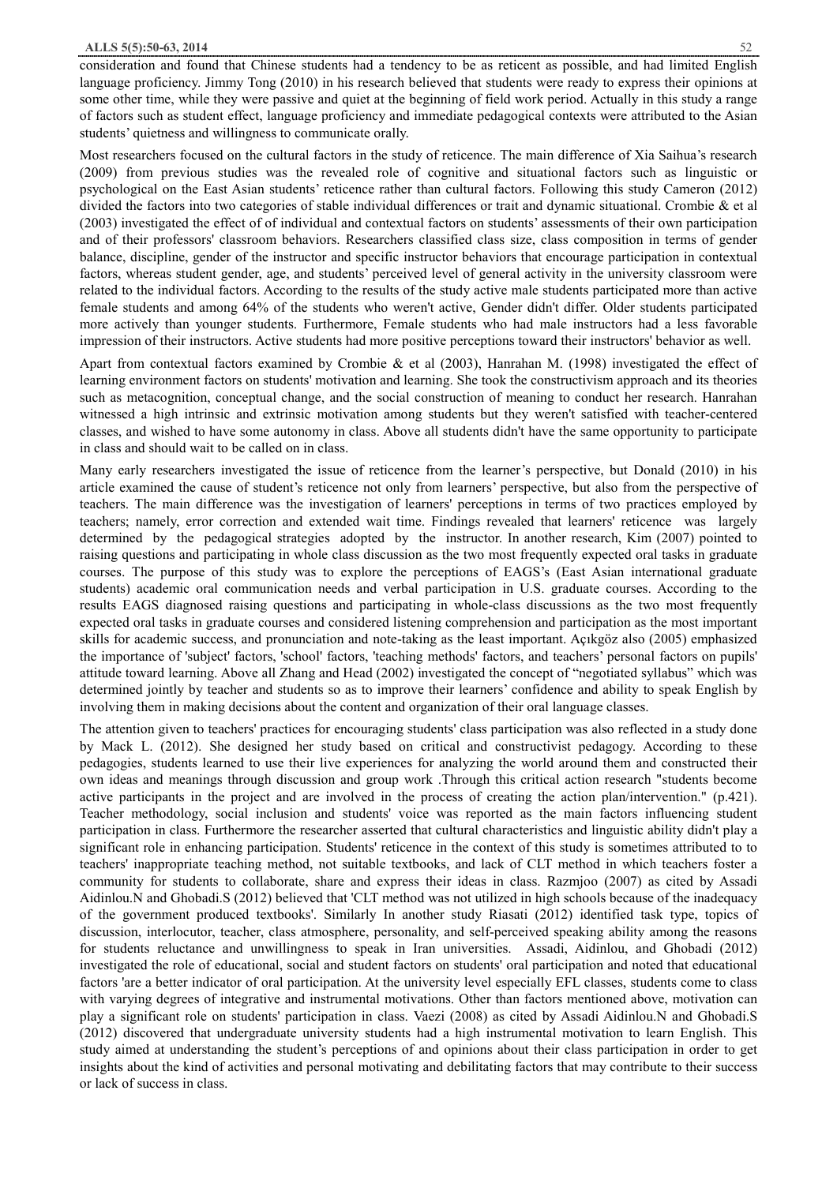consideration and found that Chinese students had a tendency to be as reticent as possible, and had limited English language proficiency. Jimmy Tong (2010) in his research believed that students were ready to express their opinions at some other time, while they were passive and quiet at the beginning of field work period. Actually in this study a range of factors such as student effect, language proficiency and immediate pedagogical contexts were attributed to the Asian students' quietness and willingness to communicate orally.

Most researchers focused on the cultural factors in the study of reticence. The main difference of Xia Saihua's research (2009) from previous studies was the revealed role of cognitive and situational factors such as linguistic or psychological on the East Asian students' reticence rather than cultural factors. Following this study Cameron (2012) divided the factors into two categories of stable individual differences or trait and dynamic situational. Crombie & et al (2003) investigated the effect of of individual and contextual factors on students' assessments of their own participation and of their professors' classroom behaviors. Researchers classified class size, class composition in terms of gender balance, discipline, gender of the instructor and specific instructor behaviors that encourage participation in contextual factors, whereas student gender, age, and students' perceived level of general activity in the university classroom were related to the individual factors. According to the results of the study active male students participated more than active female students and among 64% of the students who weren't active, Gender didn't differ. Older students participated more actively than younger students. Furthermore, Female students who had male instructors had a less favorable impression of their instructors. Active students had more positive perceptions toward their instructors' behavior as well.

Apart from contextual factors examined by Crombie & et al (2003), Hanrahan M. (1998) investigated the effect of learning environment factors on students' motivation and learning. She took the constructivism approach and its theories such as metacognition, conceptual change, and the social construction of meaning to conduct her research. Hanrahan witnessed a high intrinsic and extrinsic motivation among students but they weren't satisfied with teacher-centered classes, and wished to have some autonomy in class. Above all students didn't have the same opportunity to participate in class and should wait to be called on in class.

Many early researchers investigated the issue of reticence from the learner's perspective, but Donald (2010) in his article examined the cause of student's reticence not only from learners' perspective, but also from the perspective of teachers. The main difference was the investigation of learners' perceptions in terms of two practices employed by teachers; namely, error correction and extended wait time. Findings revealed that learners' reticence was largely determined by the pedagogical strategies adopted by the instructor. In another research, Kim (2007) pointed to raising questions and participating in whole class discussion as the two most frequently expected oral tasks in graduate courses. The purpose of this study was to explore the perceptions of EAGS's (East Asian international graduate students) academic oral communication needs and verbal participation in U.S. graduate courses. According to the results EAGS diagnosed raising questions and participating in whole-class discussions as the two most frequently expected oral tasks in graduate courses and considered listening comprehension and participation as the most important skills for academic success, and pronunciation and note-taking as the least important. Açıkgöz also (2005) emphasized the importance of 'subject' factors, 'school' factors, 'teaching methods' factors, and teachers' personal factors on pupils' attitude toward learning. Above all Zhang and Head (2002) investigated the concept of "negotiated syllabus" which was determined jointly by teacher and students so as to improve their learners' confidence and ability to speak English by involving them in making decisions about the content and organization of their oral language classes.

The attention given to teachers' practices for encouraging students' class participation was also reflected in a study done by Mack L. (2012). She designed her study based on critical and constructivist pedagogy. According to these pedagogies, students learned to use their live experiences for analyzing the world around them and constructed their own ideas and meanings through discussion and group work .Through this critical action research "students become active participants in the project and are involved in the process of creating the action plan/intervention." (p.421). Teacher methodology, social inclusion and students' voice was reported as the main factors influencing student participation in class. Furthermore the researcher asserted that cultural characteristics and linguistic ability didn't play a significant role in enhancing participation. Students' reticence in the context of this study is sometimes attributed to to teachers' inappropriate teaching method, not suitable textbooks, and lack of CLT method in which teachers foster a community for students to collaborate, share and express their ideas in class. Razmjoo (2007) as cited by Assadi Aidinlou.N and Ghobadi.S (2012) believed that 'CLT method was not utilized in high schools because of the inadequacy of the government produced textbooks'. Similarly In another study Riasati (2012) identified task type, topics of discussion, interlocutor, teacher, class atmosphere, personality, and self-perceived speaking ability among the reasons for students reluctance and unwillingness to speak in Iran universities. Assadi, Aidinlou, and Ghobadi (2012) investigated the role of educational, social and student factors on students' oral participation and noted that educational factors 'are a better indicator of oral participation. At the university level especially EFL classes, students come to class with varying degrees of integrative and instrumental motivations. Other than factors mentioned above, motivation can play a significant role on students' participation in class. Vaezi (2008) as cited by Assadi Aidinlou.N and Ghobadi.S (2012) discovered that undergraduate university students had a high instrumental motivation to learn English. This study aimed at understanding the student's perceptions of and opinions about their class participation in order to get insights about the kind of activities and personal motivating and debilitating factors that may contribute to their success or lack of success in class.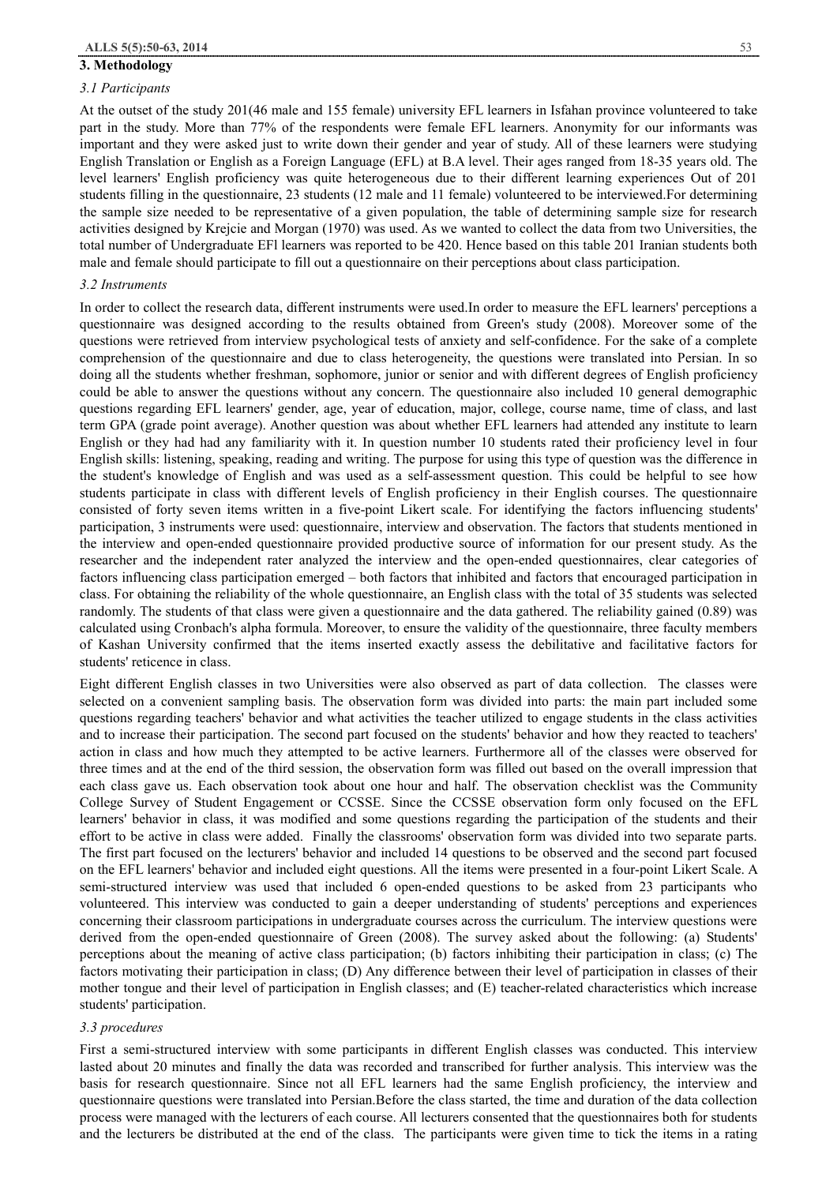#### **3. Methodology**

#### *3.1 Participants*

At the outset of the study 201(46 male and 155 female) university EFL learners in Isfahan province volunteered to take part in the study. More than 77% of the respondents were female EFL learners. Anonymity for our informants was important and they were asked just to write down their gender and year of study. All of these learners were studying English Translation or English as a Foreign Language (EFL) at B.A level. Their ages ranged from 18-35 years old. The level learners' English proficiency was quite heterogeneous due to their different learning experiences Out of 201 students filling in the questionnaire, 23 students (12 male and 11 female) volunteered to be interviewed.For determining the sample size needed to be representative of a given population, the table of determining sample size for research activities designed by Krejcie and Morgan (1970) was used. As we wanted to collect the data from two Universities, the total number of Undergraduate EFl learners was reported to be 420. Hence based on this table 201 Iranian students both male and female should participate to fill out a questionnaire on their perceptions about class participation.

#### *3.2 Instruments*

In order to collect the research data, different instruments were used.In order to measure the EFL learners' perceptions a questionnaire was designed according to the results obtained from Green's study (2008). Moreover some of the questions were retrieved from interview psychological tests of anxiety and self-confidence. For the sake of a complete comprehension of the questionnaire and due to class heterogeneity, the questions were translated into Persian. In so doing all the students whether freshman, sophomore, junior or senior and with different degrees of English proficiency could be able to answer the questions without any concern. The questionnaire also included 10 general demographic questions regarding EFL learners' gender, age, year of education, major, college, course name, time of class, and last term GPA (grade point average). Another question was about whether EFL learners had attended any institute to learn English or they had had any familiarity with it. In question number 10 students rated their proficiency level in four English skills: listening, speaking, reading and writing. The purpose for using this type of question was the difference in the student's knowledge of English and was used as a self-assessment question. This could be helpful to see how students participate in class with different levels of English proficiency in their English courses. The questionnaire consisted of forty seven items written in a five-point Likert scale. For identifying the factors influencing students' participation, 3 instruments were used: questionnaire, interview and observation. The factors that students mentioned in the interview and open-ended questionnaire provided productive source of information for our present study. As the researcher and the independent rater analyzed the interview and the open-ended questionnaires, clear categories of factors influencing class participation emerged – both factors that inhibited and factors that encouraged participation in class. For obtaining the reliability of the whole questionnaire, an English class with the total of 35 students was selected randomly. The students of that class were given a questionnaire and the data gathered. The reliability gained (0.89) was calculated using Cronbach's alpha formula. Moreover, to ensure the validity of the questionnaire, three faculty members of Kashan University confirmed that the items inserted exactly assess the debilitative and facilitative factors for students' reticence in class.

Eight different English classes in two Universities were also observed as part of data collection. The classes were selected on a convenient sampling basis. The observation form was divided into parts: the main part included some questions regarding teachers' behavior and what activities the teacher utilized to engage students in the class activities and to increase their participation. The second part focused on the students' behavior and how they reacted to teachers' action in class and how much they attempted to be active learners. Furthermore all of the classes were observed for three times and at the end of the third session, the observation form was filled out based on the overall impression that each class gave us. Each observation took about one hour and half. The observation checklist was the Community College Survey of Student Engagement or CCSSE. Since the CCSSE observation form only focused on the EFL learners' behavior in class, it was modified and some questions regarding the participation of the students and their effort to be active in class were added. Finally the classrooms' observation form was divided into two separate parts. The first part focused on the lecturers' behavior and included 14 questions to be observed and the second part focused on the EFL learners' behavior and included eight questions. All the items were presented in a four-point Likert Scale. A semi-structured interview was used that included 6 open-ended questions to be asked from 23 participants who volunteered. This interview was conducted to gain a deeper understanding of students' perceptions and experiences concerning their classroom participations in undergraduate courses across the curriculum. The interview questions were derived from the open-ended questionnaire of Green (2008). The survey asked about the following: (a) Students' perceptions about the meaning of active class participation; (b) factors inhibiting their participation in class; (c) The factors motivating their participation in class; (D) Any difference between their level of participation in classes of their mother tongue and their level of participation in English classes; and (E) teacher-related characteristics which increase students' participation.

# *3.3 procedures*

First a semi-structured interview with some participants in different English classes was conducted. This interview lasted about 20 minutes and finally the data was recorded and transcribed for further analysis. This interview was the basis for research questionnaire. Since not all EFL learners had the same English proficiency, the interview and questionnaire questions were translated into Persian.Before the class started, the time and duration of the data collection process were managed with the lecturers of each course. All lecturers consented that the questionnaires both for students and the lecturers be distributed at the end of the class. The participants were given time to tick the items in a rating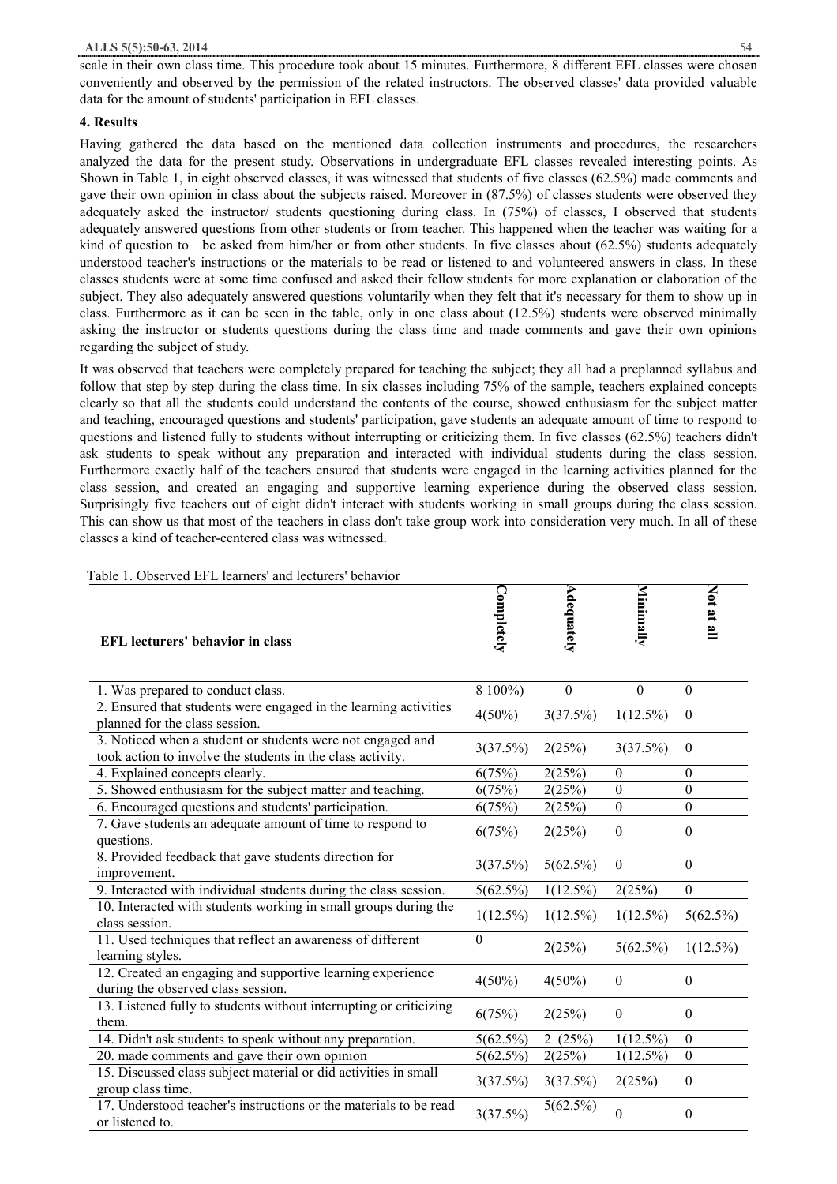scale in their own class time. This procedure took about 15 minutes. Furthermore, 8 different EFL classes were chosen conveniently and observed by the permission of the related instructors. The observed classes' data provided valuable data for the amount of students' participation in EFL classes.

## **4. Results**

Having gathered the data based on the mentioned data collection instruments and procedures, the researchers analyzed the data for the present study. Observations in undergraduate EFL classes revealed interesting points. As Shown in Table 1, in eight observed classes, it was witnessed that students of five classes (62.5%) made comments and gave their own opinion in class about the subjects raised. Moreover in (87.5%) of classes students were observed they adequately asked the instructor/ students questioning during class. In (75%) of classes, I observed that students adequately answered questions from other students or from teacher. This happened when the teacher was waiting for a kind of question to be asked from him/her or from other students. In five classes about  $(62.5%)$  students adequately understood teacher's instructions or the materials to be read or listened to and volunteered answers in class. In these classes students were at some time confused and asked their fellow students for more explanation or elaboration of the subject. They also adequately answered questions voluntarily when they felt that it's necessary for them to show up in class. Furthermore as it can be seen in the table, only in one class about (12.5%) students were observed minimally asking the instructor or students questions during the class time and made comments and gave their own opinions regarding the subject of study.

It was observed that teachers were completely prepared for teaching the subject; they all had a preplanned syllabus and follow that step by step during the class time. In six classes including 75% of the sample, teachers explained concepts clearly so that all the students could understand the contents of the course, showed enthusiasm for the subject matter and teaching, encouraged questions and students' participation, gave students an adequate amount of time to respond to questions and listened fully to students without interrupting or criticizing them. In five classes (62.5%) teachers didn't ask students to speak without any preparation and interacted with individual students during the class session. Furthermore exactly half of the teachers ensured that students were engaged in the learning activities planned for the class session, and created an engaging and supportive learning experience during the observed class session. Surprisingly five teachers out of eight didn't interact with students working in small groups during the class session. This can show us that most of the teachers in class don't take group work into consideration very much. In all of these classes a kind of teacher-centered class was witnessed.

| Table 1. Observed EFL learners' and lecturers' behavior |  |  |
|---------------------------------------------------------|--|--|
|                                                         |  |  |

| <b>EFL</b> lecturers' behavior in class                                                                                  | Completely     | Adequately       | Minimally        | Not at all       |
|--------------------------------------------------------------------------------------------------------------------------|----------------|------------------|------------------|------------------|
| 1. Was prepared to conduct class.                                                                                        | 8 100%)        | $\boldsymbol{0}$ | $\boldsymbol{0}$ | $\theta$         |
| 2. Ensured that students were engaged in the learning activities<br>planned for the class session.                       | $4(50\%)$      | 3(37.5%)         | $1(12.5\%)$      | $\boldsymbol{0}$ |
| 3. Noticed when a student or students were not engaged and<br>took action to involve the students in the class activity. | 3(37.5%)       | 2(25%)           | 3(37.5%)         | $\boldsymbol{0}$ |
| 4. Explained concepts clearly.                                                                                           | 6(75%)         | 2(25%)           | $\boldsymbol{0}$ | $\boldsymbol{0}$ |
| 5. Showed enthusiasm for the subject matter and teaching.                                                                | 6(75%)         | 2(25%)           | $\theta$         | $\theta$         |
| 6. Encouraged questions and students' participation.                                                                     | 6(75%)         | 2(25%)           | $\mathbf{0}$     | $\theta$         |
| 7. Gave students an adequate amount of time to respond to<br>questions.                                                  | 6(75%)         | 2(25%)           | $\boldsymbol{0}$ | $\boldsymbol{0}$ |
| 8. Provided feedback that gave students direction for<br>improvement.                                                    | 3(37.5%)       | 5(62.5%)         | $\mathbf{0}$     | $\theta$         |
| 9. Interacted with individual students during the class session.                                                         | $5(62.5\%)$    | $1(12.5\%)$      | 2(25%)           | $\mathbf{0}$     |
| 10. Interacted with students working in small groups during the<br>class session.                                        | $1(12.5\%)$    | $1(12.5\%)$      | $1(12.5\%)$      | 5(62.5%)         |
| 11. Used techniques that reflect an awareness of different<br>learning styles.                                           | $\overline{0}$ | 2(25%)           | $5(62.5\%)$      | $1(12.5\%)$      |
| 12. Created an engaging and supportive learning experience<br>during the observed class session.                         | $4(50\%)$      | $4(50\%)$        | $\mathbf{0}$     | $\boldsymbol{0}$ |
| 13. Listened fully to students without interrupting or criticizing<br>them.                                              | 6(75%)         | 2(25%)           | $\mathbf{0}$     | $\theta$         |
| 14. Didn't ask students to speak without any preparation.                                                                | 5(62.5%)       | 2 $(25%)$        | $1(12.5\%)$      | $\theta$         |
| 20. made comments and gave their own opinion                                                                             | 5(62.5%)       | 2(25%)           | $1(12.5\%)$      | $\boldsymbol{0}$ |
| 15. Discussed class subject material or did activities in small<br>group class time.                                     | 3(37.5%)       | 3(37.5%)         | 2(25%)           | $\boldsymbol{0}$ |
| 17. Understood teacher's instructions or the materials to be read<br>or listened to.                                     | 3(37.5%)       | 5(62.5%)         | $\mathbf{0}$     | $\boldsymbol{0}$ |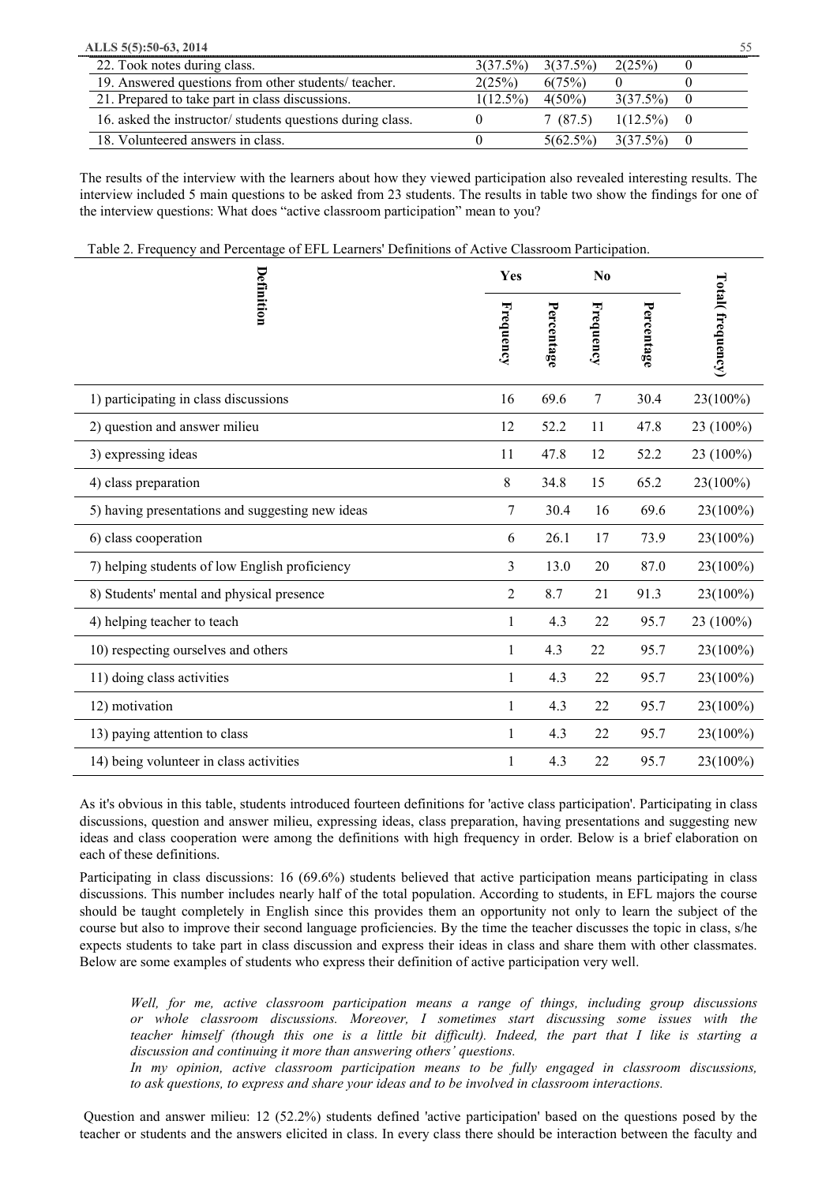| ALLS 5(5):50-63, 2014                                     |             |           |                         |  |
|-----------------------------------------------------------|-------------|-----------|-------------------------|--|
| 22. Took notes during class.                              | 3(37.5%)    | 3(37.5%)  | 2(25%)                  |  |
| 19. Answered questions from other students/teacher.       | 2(25%)      | 6(75%)    |                         |  |
| 21. Prepared to take part in class discussions.           | $1(12.5\%)$ | $4(50\%)$ | 3(37.5%)                |  |
| 16. asked the instructor/students questions during class. |             | 7(87.5)   | $1(12.5\%)$ 0           |  |
| 18. Volunteered answers in class.                         |             |           | $5(62.5\%)$ $3(37.5\%)$ |  |

The results of the interview with the learners about how they viewed participation also revealed interesting results. The interview included 5 main questions to be asked from 23 students. The results in table two show the findings for one of the interview questions: What does "active classroom participation" mean to you?

Table 2. Frequency and Percentage of EFL Learners' Definitions of Active Classroom Participation.

|                                                  | Yes       |            | N <sub>0</sub> |            |                  |
|--------------------------------------------------|-----------|------------|----------------|------------|------------------|
| Definition                                       | Frequency | Percentage | Frequency      | Percentage | Total(frequency) |
| 1) participating in class discussions            | 16        | 69.6       | $\tau$         | 30.4       | 23(100%)         |
| 2) question and answer milieu                    | 12        | 52.2       | 11             | 47.8       | 23 (100%)        |
| 3) expressing ideas                              | 11        | 47.8       | 12             | 52.2       | 23 (100%)        |
| 4) class preparation                             | 8         | 34.8       | 15             | 65.2       | 23(100%)         |
| 5) having presentations and suggesting new ideas | 7         | 30.4       | 16             | 69.6       | 23(100%)         |
| 6) class cooperation                             | 6         | 26.1       | 17             | 73.9       | $23(100\%)$      |
| 7) helping students of low English proficiency   | 3         | 13.0       | 20             | 87.0       | 23(100%)         |
| 8) Students' mental and physical presence        | 2         | 8.7        | 21             | 91.3       | $23(100\%)$      |
| 4) helping teacher to teach                      | 1         | 4.3        | 22             | 95.7       | 23 (100%)        |
| 10) respecting ourselves and others              | 1         | 4.3        | 22             | 95.7       | 23(100%)         |
| 11) doing class activities                       | 1         | 4.3        | 22             | 95.7       | 23(100%)         |
| 12) motivation                                   | 1         | 4.3        | 22             | 95.7       | 23(100%)         |
| 13) paying attention to class                    | 1         | 4.3        | 22             | 95.7       | 23(100%)         |
| 14) being volunteer in class activities          | 1         | 4.3        | 22             | 95.7       | 23(100%)         |

As it's obvious in this table, students introduced fourteen definitions for 'active class participation'. Participating in class discussions, question and answer milieu, expressing ideas, class preparation, having presentations and suggesting new ideas and class cooperation were among the definitions with high frequency in order. Below is a brief elaboration on each of these definitions.

Participating in class discussions: 16 (69.6%) students believed that active participation means participating in class discussions. This number includes nearly half of the total population. According to students, in EFL majors the course should be taught completely in English since this provides them an opportunity not only to learn the subject of the course but also to improve their second language proficiencies. By the time the teacher discusses the topic in class, s/he expects students to take part in class discussion and express their ideas in class and share them with other classmates. Below are some examples of students who express their definition of active participation very well.

*Well, for me, active classroom participation means a range of things, including group discussions or whole classroom discussions. Moreover, I sometimes start discussing some issues with the*  teacher himself (though this one is a little bit difficult). Indeed, the part that I like is starting a *discussion and continuing it more than answering others' questions.* 

*In my opinion, active classroom participation means to be fully engaged in classroom discussions, to ask questions, to express and share your ideas and to be involved in classroom interactions.* 

Question and answer milieu: 12 (52.2%) students defined 'active participation' based on the questions posed by the teacher or students and the answers elicited in class. In every class there should be interaction between the faculty and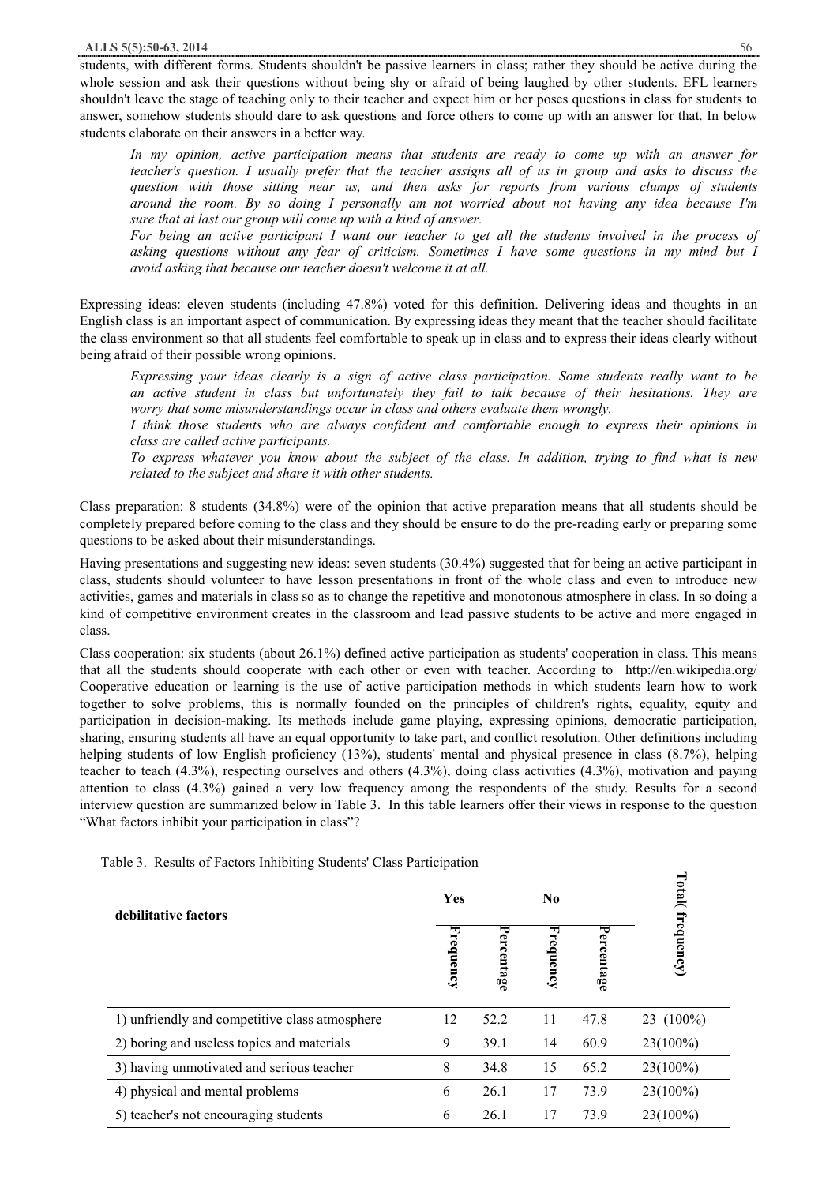students, with different forms. Students shouldn't be passive learners in class; rather they should be active during the whole session and ask their questions without being shy or afraid of being laughed by other students. EFL learners shouldn't leave the stage of teaching only to their teacher and expect him or her poses questions in class for students to answer, somehow students should dare to ask questions and force others to come up with an answer for that. In below students elaborate on their answers in a better way.

*In my opinion, active participation means that students are ready to come up with an answer for*  teacher's question. I usually prefer that the teacher assigns all of us in group and asks to discuss the *question with those sitting near us, and then asks for reports from various clumps of students around the room. By so doing I personally am not worried about not having any idea because I'm sure that at last our group will come up with a kind of answer.* 

For being an active participant I want our teacher to get all the students involved in the process of *asking questions without any fear of criticism. Sometimes I have some questions in my mind but I avoid asking that because our teacher doesn't welcome it at all.* 

Expressing ideas: eleven students (including 47.8%) voted for this definition. Delivering ideas and thoughts in an English class is an important aspect of communication. By expressing ideas they meant that the teacher should facilitate the class environment so that all students feel comfortable to speak up in class and to express their ideas clearly without being afraid of their possible wrong opinions.

*Expressing your ideas clearly is a sign of active class participation. Some students really want to be an active student in class but unfortunately they fail to talk because of their hesitations. They are worry that some misunderstandings occur in class and others evaluate them wrongly.* 

*I think those students who are always confident and comfortable enough to express their opinions in class are called active participants.* 

To express whatever you know about the subject of the class. In addition, trying to find what is new *related to the subject and share it with other students.* 

Class preparation: 8 students (34.8%) were of the opinion that active preparation means that all students should be completely prepared before coming to the class and they should be ensure to do the pre-reading early or preparing some questions to be asked about their misunderstandings.

Having presentations and suggesting new ideas: seven students (30.4%) suggested that for being an active participant in class, students should volunteer to have lesson presentations in front of the whole class and even to introduce new activities, games and materials in class so as to change the repetitive and monotonous atmosphere in class. In so doing a kind of competitive environment creates in the classroom and lead passive students to be active and more engaged in class.

Class cooperation: six students (about 26.1%) defined active participation as students' cooperation in class. This means that all the students should cooperate with each other or even with teacher. According to http://en.wikipedia.org/ Cooperative education or learning is the use of active participation methods in which students learn how to work together to solve problems, this is normally founded on the principles of children's rights, equality, equity and participation in decision-making. Its methods include game playing, expressing opinions, democratic participation, sharing, ensuring students all have an equal opportunity to take part, and conflict resolution. Other definitions including helping students of low English proficiency (13%), students' mental and physical presence in class (8.7%), helping teacher to teach (4.3%), respecting ourselves and others (4.3%), doing class activities (4.3%), motivation and paying attention to class (4.3%) gained a very low frequency among the respondents of the study. Results for a second interview question are summarized below in Table 3. In this table learners offer their views in response to the question "What factors inhibit your participation in class"?

| debilitative factors                           |    |                | N <sub>0</sub> |                | Total        |
|------------------------------------------------|----|----------------|----------------|----------------|--------------|
|                                                |    | 宝<br>ercentage | u,<br>cequency | ℸ<br>ercentage | frequency)   |
| 1) unfriendly and competitive class atmosphere | 12 | 52.2           | 11             | 47.8           | 23 $(100\%)$ |
| 2) boring and useless topics and materials     | 9  | 39.1           | 14             | 60.9           | $23(100\%)$  |
| 3) having unmotivated and serious teacher      | 8  | 34.8           | 15             | 65.2           | $23(100\%)$  |
| 4) physical and mental problems                | 6  | 26.1           | 17             | 73.9           | $23(100\%)$  |
| 5) teacher's not encouraging students          | 6  | 26.1           | 17             | 73.9           | $23(100\%)$  |

Table 3. Results of Factors Inhibiting Students' Class Participation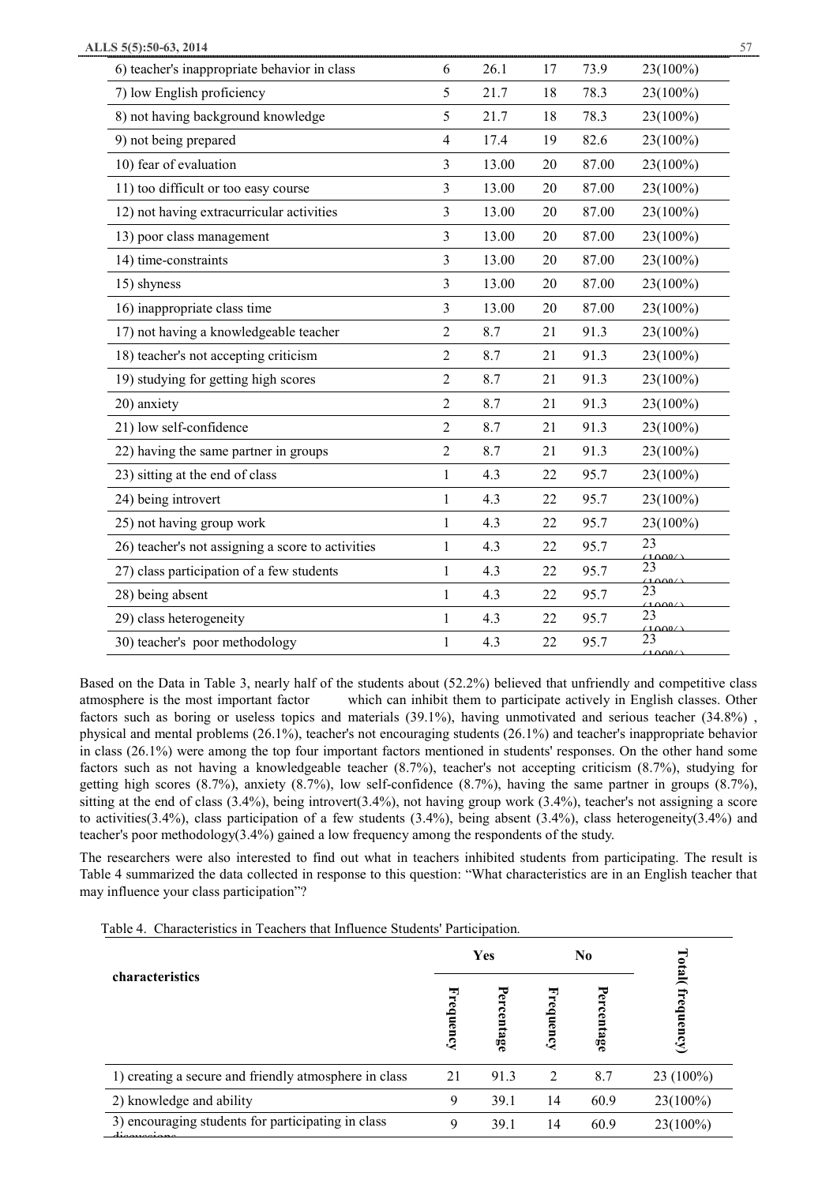| 6) teacher's inappropriate behavior in class      | 6              | 26.1  | 17 | 73.9  | 23(100%)     |
|---------------------------------------------------|----------------|-------|----|-------|--------------|
| 7) low English proficiency                        | 5              | 21.7  | 18 | 78.3  | 23(100%)     |
| 8) not having background knowledge                | 5              | 21.7  | 18 | 78.3  | 23(100%)     |
| 9) not being prepared                             | $\overline{4}$ | 17.4  | 19 | 82.6  | 23(100%)     |
| 10) fear of evaluation                            | 3              | 13.00 | 20 | 87.00 | 23(100%)     |
| 11) too difficult or too easy course              | 3              | 13.00 | 20 | 87.00 | 23(100%)     |
| 12) not having extracurricular activities         | 3              | 13.00 | 20 | 87.00 | 23(100%)     |
| 13) poor class management                         | 3              | 13.00 | 20 | 87.00 | 23(100%)     |
| 14) time-constraints                              | 3              | 13.00 | 20 | 87.00 | 23(100%)     |
| 15) shyness                                       | 3              | 13.00 | 20 | 87.00 | 23(100%)     |
| 16) inappropriate class time                      | 3              | 13.00 | 20 | 87.00 | 23(100%)     |
| 17) not having a knowledgeable teacher            | $\overline{2}$ | 8.7   | 21 | 91.3  | 23(100%)     |
| 18) teacher's not accepting criticism             | $\overline{2}$ | 8.7   | 21 | 91.3  | 23(100%)     |
| 19) studying for getting high scores              | $\overline{2}$ | 8.7   | 21 | 91.3  | 23(100%)     |
| 20) anxiety                                       | $\overline{2}$ | 8.7   | 21 | 91.3  | 23(100%)     |
| 21) low self-confidence                           | $\overline{2}$ | 8.7   | 21 | 91.3  | 23(100%)     |
| 22) having the same partner in groups             | $\overline{2}$ | 8.7   | 21 | 91.3  | 23(100%)     |
| 23) sitting at the end of class                   | $\mathbf{1}$   | 4.3   | 22 | 95.7  | 23(100%)     |
| 24) being introvert                               | $\mathbf{1}$   | 4.3   | 22 | 95.7  | 23(100%)     |
| 25) not having group work                         | $\mathbf{1}$   | 4.3   | 22 | 95.7  | 23(100%)     |
| 26) teacher's not assigning a score to activities | $\mathbf{1}$   | 4.3   | 22 | 95.7  | 23<br>(1000) |
| 27) class participation of a few students         | $\mathbf{1}$   | 4.3   | 22 | 95.7  | 23<br>(1000) |
| 28) being absent                                  | $\mathbf{1}$   | 4.3   | 22 | 95.7  | 23<br>(1000) |
| 29) class heterogeneity                           | $\mathbf{1}$   | 4.3   | 22 | 95.7  | 23<br>(1000) |
| 30) teacher's poor methodology                    | 1              | 4.3   | 22 | 95.7  | 23<br>(1000) |

Based on the Data in Table 3, nearly half of the students about (52.2%) believed that unfriendly and competitive class atmosphere is the most important factor which can inhibit them to participate actively in English classes. Other factors such as boring or useless topics and materials (39.1%), having unmotivated and serious teacher (34.8%) , physical and mental problems (26.1%), teacher's not encouraging students (26.1%) and teacher's inappropriate behavior in class (26.1%) were among the top four important factors mentioned in students' responses. On the other hand some factors such as not having a knowledgeable teacher (8.7%), teacher's not accepting criticism (8.7%), studying for getting high scores (8.7%), anxiety (8.7%), low self-confidence (8.7%), having the same partner in groups (8.7%), sitting at the end of class  $(3.4\%)$ , being introvert $(3.4\%)$ , not having group work  $(3.4\%)$ , teacher's not assigning a score to activities(3.4%), class participation of a few students (3.4%), being absent (3.4%), class heterogeneity(3.4%) and teacher's poor methodology(3.4%) gained a low frequency among the respondents of the study.

The researchers were also interested to find out what in teachers inhibited students from participating. The result is Table 4 summarized the data collected in response to this question: "What characteristics are in an English teacher that may influence your class participation"?

Table 4. Characteristics in Teachers that Influence Students' Participation*.* 

| characteristics                                       |    | Yes       |          | N <sub>0</sub>  | otal(       |
|-------------------------------------------------------|----|-----------|----------|-----------------|-------------|
|                                                       |    | ercentage | requency | ercenta<br>ဖွဲ့ | frequency   |
| 1) creating a secure and friendly atmosphere in class | 21 | 91.3      | 2        | 8.7             | $23(100\%)$ |
| 2) knowledge and ability                              | 9  | 39.1      | 14       | 60.9            | $23(100\%)$ |
| 3) encouraging students for participating in class    | 9  | 39.1      | 14       | 60.9            | $23(100\%)$ |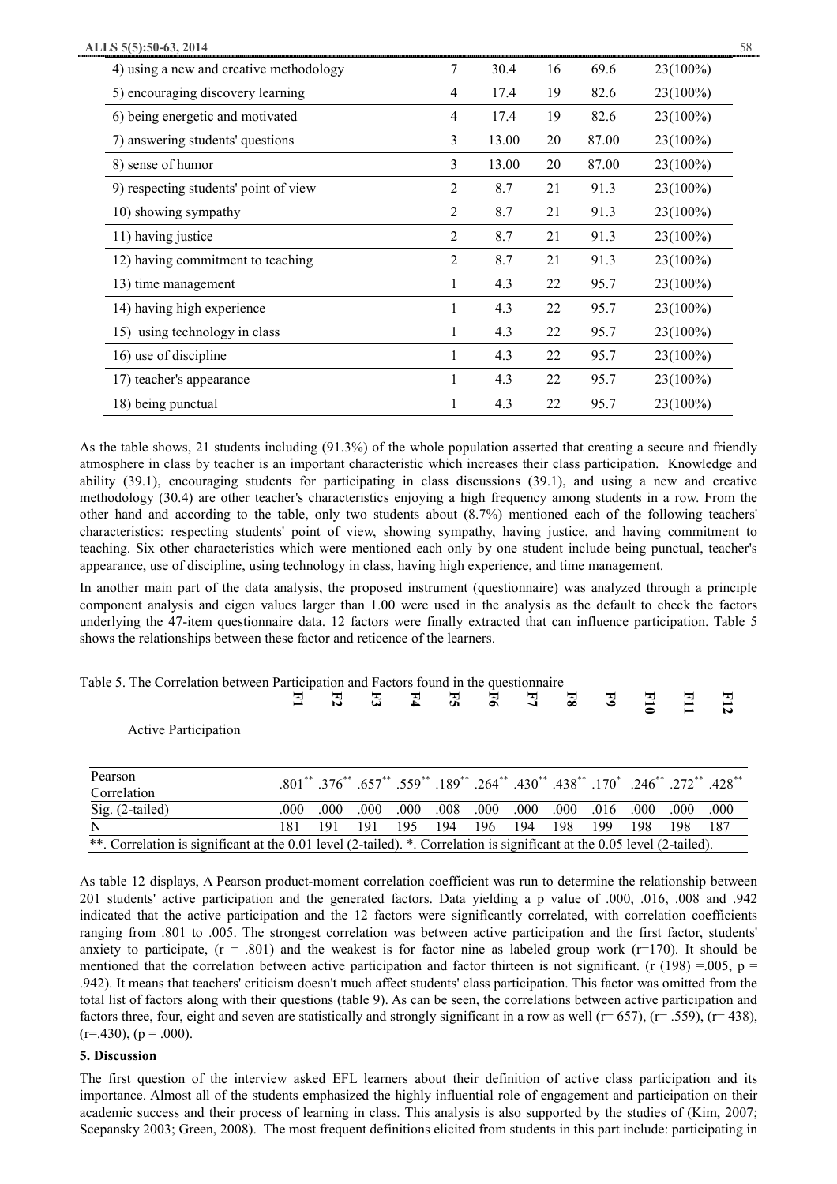| 4) using a new and creative methodology | 7 | 30.4  | 16 | 69.6  | 23(100%)    |
|-----------------------------------------|---|-------|----|-------|-------------|
| 5) encouraging discovery learning       | 4 | 17.4  | 19 | 82.6  | $23(100\%)$ |
| 6) being energetic and motivated        | 4 | 17.4  | 19 | 82.6  | 23(100%)    |
| 7) answering students' questions        | 3 | 13.00 | 20 | 87.00 | $23(100\%)$ |
| 8) sense of humor                       | 3 | 13.00 | 20 | 87.00 | 23(100%)    |
| 9) respecting students' point of view   | 2 | 8.7   | 21 | 91.3  | 23(100%)    |
| 10) showing sympathy                    | 2 | 8.7   | 21 | 91.3  | 23(100%)    |
| 11) having justice                      | 2 | 8.7   | 21 | 91.3  | $23(100\%)$ |
| 12) having commitment to teaching       | 2 | 8.7   | 21 | 91.3  | 23(100%)    |
| 13) time management                     | 1 | 4.3   | 22 | 95.7  | $23(100\%)$ |
| 14) having high experience              | 1 | 4.3   | 22 | 95.7  | 23(100%)    |
| 15) using technology in class           | 1 | 4.3   | 22 | 95.7  | $23(100\%)$ |
| 16) use of discipline                   |   | 4.3   | 22 | 95.7  | 23(100%)    |
| 17) teacher's appearance                |   | 4.3   | 22 | 95.7  | 23(100%)    |
| 18) being punctual                      |   | 4.3   | 22 | 95.7  | 23(100%)    |

As the table shows, 21 students including (91.3%) of the whole population asserted that creating a secure and friendly atmosphere in class by teacher is an important characteristic which increases their class participation. Knowledge and ability (39.1), encouraging students for participating in class discussions (39.1), and using a new and creative methodology (30.4) are other teacher's characteristics enjoying a high frequency among students in a row. From the other hand and according to the table, only two students about (8.7%) mentioned each of the following teachers' characteristics: respecting students' point of view, showing sympathy, having justice, and having commitment to teaching. Six other characteristics which were mentioned each only by one student include being punctual, teacher's appearance, use of discipline, using technology in class, having high experience, and time management.

In another main part of the data analysis, the proposed instrument (questionnaire) was analyzed through a principle component analysis and eigen values larger than 1.00 were used in the analysis as the default to check the factors underlying the 47-item questionnaire data. 12 factors were finally extracted that can influence participation. Table 5 shows the relationships between these factor and reticence of the learners.

## Table 5. The Correlation between Participation and Factors found in the questionnaire

|                                                                                                                          | 콘    | 콙    | 콙    | 고    | 굵    | 콩    | 쿸    | $\overline{\mathbf{g}}$ | 3    | 콜                                                                                                                                              | 콜    | E12   |
|--------------------------------------------------------------------------------------------------------------------------|------|------|------|------|------|------|------|-------------------------|------|------------------------------------------------------------------------------------------------------------------------------------------------|------|-------|
| <b>Active Participation</b>                                                                                              |      |      |      |      |      |      |      |                         |      |                                                                                                                                                |      |       |
| Pearson<br>Correlation                                                                                                   |      |      |      |      |      |      |      |                         |      | $.801^{**}$ $.376^{**}$ $.657^{**}$ $.559^{**}$ $.189^{**}$ $.264^{**}$ $.430^{**}$ $.438^{**}$ $.170^{*}$ $.246^{**}$ $.272^{**}$ $.428^{**}$ |      |       |
| Sig. (2-tailed)                                                                                                          | .000 | .000 | .000 | .000 | .008 | .000 | .000 | .000                    | .016 | .000                                                                                                                                           | .000 | .000. |
|                                                                                                                          | 181  | 191  | 191  | 195  | 194  | 196  | 194  | 198                     | 199  | 198                                                                                                                                            | 198  | 187   |
| **. Correlation is significant at the 0.01 level (2-tailed). *. Correlation is significant at the 0.05 level (2-tailed). |      |      |      |      |      |      |      |                         |      |                                                                                                                                                |      |       |

As table 12 displays, A Pearson product-moment correlation coefficient was run to determine the relationship between 201 students' active participation and the generated factors. Data yielding a p value of .000, .016, .008 and .942 indicated that the active participation and the 12 factors were significantly correlated, with correlation coefficients ranging from .801 to .005. The strongest correlation was between active participation and the first factor, students' anxiety to participate,  $(r = .801)$  and the weakest is for factor nine as labeled group work  $(r=170)$ . It should be mentioned that the correlation between active participation and factor thirteen is not significant. (r (198) = 005, p = .942). It means that teachers' criticism doesn't much affect students' class participation. This factor was omitted from the total list of factors along with their questions (table 9). As can be seen, the correlations between active participation and factors three, four, eight and seven are statistically and strongly significant in a row as well ( $r= 657$ ), ( $r= 159$ ), ( $r= 438$ ),  $(r=.430)$ ,  $(p=.000)$ .

#### **5. Discussion**

The first question of the interview asked EFL learners about their definition of active class participation and its importance. Almost all of the students emphasized the highly influential role of engagement and participation on their academic success and their process of learning in class. This analysis is also supported by the studies of (Kim, 2007; Scepansky 2003; Green, 2008). The most frequent definitions elicited from students in this part include: participating in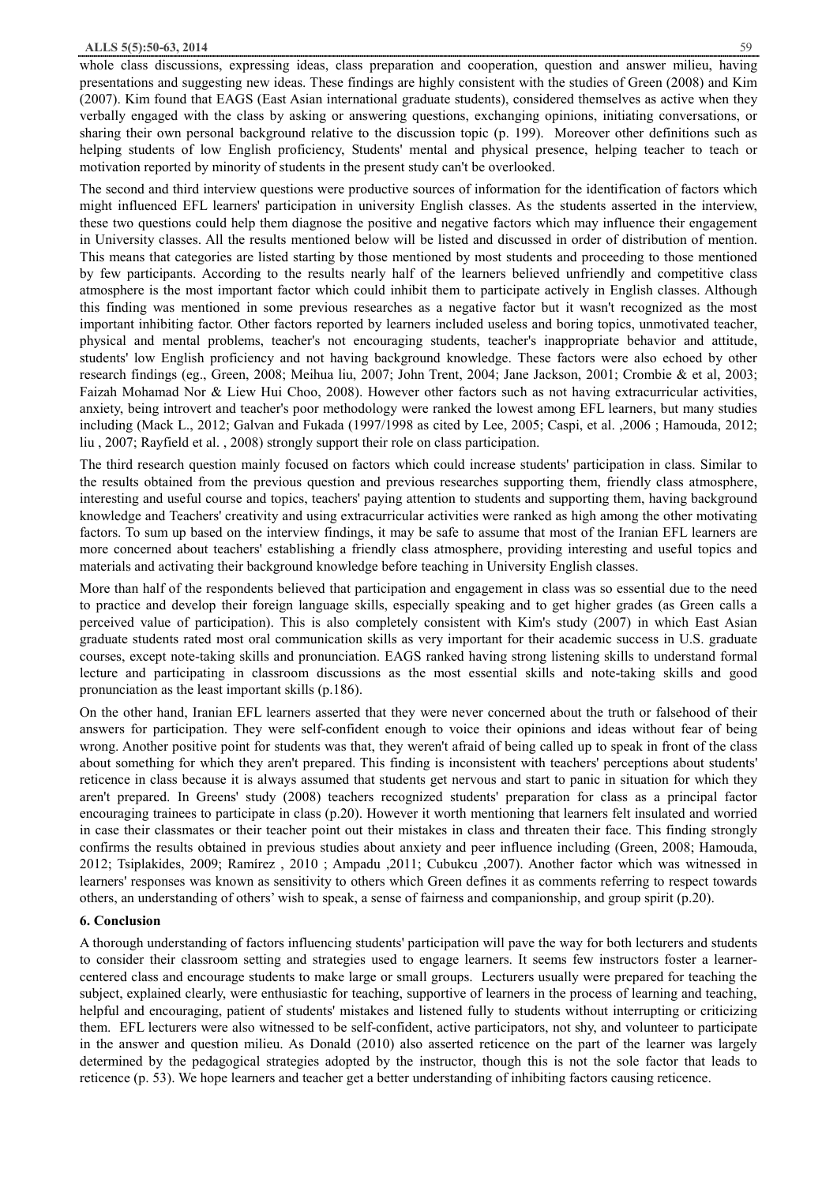## **ALLS 5(5):50-63, 2014** 59

whole class discussions, expressing ideas, class preparation and cooperation, question and answer milieu, having presentations and suggesting new ideas. These findings are highly consistent with the studies of Green (2008) and Kim (2007). Kim found that EAGS (East Asian international graduate students), considered themselves as active when they verbally engaged with the class by asking or answering questions, exchanging opinions, initiating conversations, or sharing their own personal background relative to the discussion topic (p. 199). Moreover other definitions such as helping students of low English proficiency, Students' mental and physical presence, helping teacher to teach or motivation reported by minority of students in the present study can't be overlooked.

The second and third interview questions were productive sources of information for the identification of factors which might influenced EFL learners' participation in university English classes. As the students asserted in the interview, these two questions could help them diagnose the positive and negative factors which may influence their engagement in University classes. All the results mentioned below will be listed and discussed in order of distribution of mention. This means that categories are listed starting by those mentioned by most students and proceeding to those mentioned by few participants. According to the results nearly half of the learners believed unfriendly and competitive class atmosphere is the most important factor which could inhibit them to participate actively in English classes. Although this finding was mentioned in some previous researches as a negative factor but it wasn't recognized as the most important inhibiting factor. Other factors reported by learners included useless and boring topics, unmotivated teacher, physical and mental problems, teacher's not encouraging students, teacher's inappropriate behavior and attitude, students' low English proficiency and not having background knowledge. These factors were also echoed by other research findings (eg., Green, 2008; Meihua liu, 2007; John Trent, 2004; Jane Jackson, 2001; Crombie & et al, 2003; Faizah Mohamad Nor & Liew Hui Choo, 2008). However other factors such as not having extracurricular activities, anxiety, being introvert and teacher's poor methodology were ranked the lowest among EFL learners, but many studies including (Mack L., 2012; Galvan and Fukada (1997/1998 as cited by Lee, 2005; Caspi, et al. ,2006 ; Hamouda, 2012; liu , 2007; Rayfield et al. , 2008) strongly support their role on class participation.

The third research question mainly focused on factors which could increase students' participation in class. Similar to the results obtained from the previous question and previous researches supporting them, friendly class atmosphere, interesting and useful course and topics, teachers' paying attention to students and supporting them, having background knowledge and Teachers' creativity and using extracurricular activities were ranked as high among the other motivating factors. To sum up based on the interview findings, it may be safe to assume that most of the Iranian EFL learners are more concerned about teachers' establishing a friendly class atmosphere, providing interesting and useful topics and materials and activating their background knowledge before teaching in University English classes.

More than half of the respondents believed that participation and engagement in class was so essential due to the need to practice and develop their foreign language skills, especially speaking and to get higher grades (as Green calls a perceived value of participation). This is also completely consistent with Kim's study (2007) in which East Asian graduate students rated most oral communication skills as very important for their academic success in U.S. graduate courses, except note-taking skills and pronunciation. EAGS ranked having strong listening skills to understand formal lecture and participating in classroom discussions as the most essential skills and note-taking skills and good pronunciation as the least important skills (p.186).

On the other hand, Iranian EFL learners asserted that they were never concerned about the truth or falsehood of their answers for participation. They were self-confident enough to voice their opinions and ideas without fear of being wrong. Another positive point for students was that, they weren't afraid of being called up to speak in front of the class about something for which they aren't prepared. This finding is inconsistent with teachers' perceptions about students' reticence in class because it is always assumed that students get nervous and start to panic in situation for which they aren't prepared. In Greens' study (2008) teachers recognized students' preparation for class as a principal factor encouraging trainees to participate in class (p.20). However it worth mentioning that learners felt insulated and worried in case their classmates or their teacher point out their mistakes in class and threaten their face. This finding strongly confirms the results obtained in previous studies about anxiety and peer influence including (Green, 2008; Hamouda, 2012; Tsiplakides, 2009; Ramírez , 2010 ; Ampadu ,2011; Cubukcu ,2007). Another factor which was witnessed in learners' responses was known as sensitivity to others which Green defines it as comments referring to respect towards others, an understanding of others' wish to speak, a sense of fairness and companionship, and group spirit (p.20).

## **6. Conclusion**

A thorough understanding of factors influencing students' participation will pave the way for both lecturers and students to consider their classroom setting and strategies used to engage learners. It seems few instructors foster a learnercentered class and encourage students to make large or small groups. Lecturers usually were prepared for teaching the subject, explained clearly, were enthusiastic for teaching, supportive of learners in the process of learning and teaching, helpful and encouraging, patient of students' mistakes and listened fully to students without interrupting or criticizing them. EFL lecturers were also witnessed to be self-confident, active participators, not shy, and volunteer to participate in the answer and question milieu. As Donald (2010) also asserted reticence on the part of the learner was largely determined by the pedagogical strategies adopted by the instructor, though this is not the sole factor that leads to reticence (p. 53). We hope learners and teacher get a better understanding of inhibiting factors causing reticence.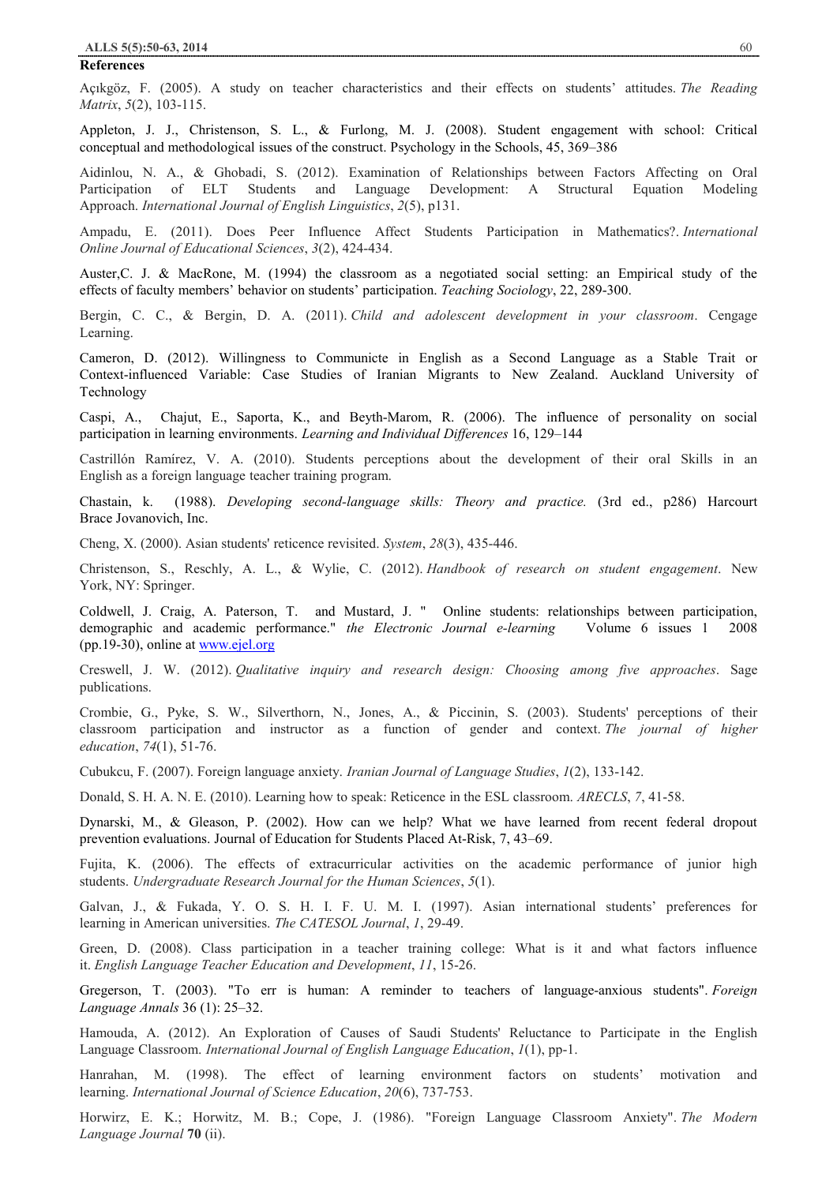#### **References**

Açıkgöz, F. (2005). A study on teacher characteristics and their effects on students' attitudes. *The Reading Matrix*, *5*(2), 103-115.

Appleton, J. J., Christenson, S. L., & Furlong, M. J. (2008). Student engagement with school: Critical conceptual and methodological issues of the construct. Psychology in the Schools, 45, 369–386

Aidinlou, N. A., & Ghobadi, S. (2012). Examination of Relationships between Factors Affecting on Oral Participation of ELT Students and Language Development: A Structural Equation Modeling Approach. *International Journal of English Linguistics*, *2*(5), p131.

Ampadu, E. (2011). Does Peer Influence Affect Students Participation in Mathematics?. *International Online Journal of Educational Sciences*, *3*(2), 424-434.

Auster,C. J. & MacRone, M. (1994) the classroom as a negotiated social setting: an Empirical study of the effects of faculty members' behavior on students' participation. *Teaching Sociology*, 22, 289-300.

Bergin, C. C., & Bergin, D. A. (2011). *Child and adolescent development in your classroom*. Cengage Learning.

Cameron, D. (2012). Willingness to Communicte in English as a Second Language as a Stable Trait or Context-influenced Variable: Case Studies of Iranian Migrants to New Zealand. Auckland University of Technology

Caspi, A., Chajut, E., Saporta, K., and Beyth-Marom, R. (2006). The influence of personality on social participation in learning environments. *Learning and Individual Differences* 16, 129–144

Castrillón Ramírez, V. A. (2010). Students perceptions about the development of their oral Skills in an English as a foreign language teacher training program.

Chastain, k. (1988). *Developing second-language skills: Theory and practice.* (3rd ed., p286) Harcourt Brace Jovanovich, Inc.

Cheng, X. (2000). Asian students' reticence revisited. *System*, *28*(3), 435-446.

Christenson, S., Reschly, A. L., & Wylie, C. (2012). *Handbook of research on student engagement*. New York, NY: Springer.

Coldwell, J. Craig, A. Paterson, T. and Mustard, J. " Online students: relationships between participation, demographic and academic performance." *the Electronic Journal e-learning* Volume 6 issues 1 2008 (pp.19-30), online at www.ejel.org

Creswell, J. W. (2012). *Qualitative inquiry and research design: Choosing among five approaches*. Sage publications.

Crombie, G., Pyke, S. W., Silverthorn, N., Jones, A., & Piccinin, S. (2003). Students' perceptions of their classroom participation and instructor as a function of gender and context. *The journal of higher education*, *74*(1), 51-76.

Cubukcu, F. (2007). Foreign language anxiety. *Iranian Journal of Language Studies*, *1*(2), 133-142.

Donald, S. H. A. N. E. (2010). Learning how to speak: Reticence in the ESL classroom. *ARECLS*, *7*, 41-58.

Dynarski, M., & Gleason, P. (2002). How can we help? What we have learned from recent federal dropout prevention evaluations. Journal of Education for Students Placed At-Risk, 7, 43–69.

Fujita, K. (2006). The effects of extracurricular activities on the academic performance of junior high students. *Undergraduate Research Journal for the Human Sciences*, *5*(1).

Galvan, J., & Fukada, Y. O. S. H. I. F. U. M. I. (1997). Asian international students' preferences for learning in American universities. *The CATESOL Journal*, *1*, 29-49.

Green, D. (2008). Class participation in a teacher training college: What is it and what factors influence it. *English Language Teacher Education and Development*, *11*, 15-26.

Gregerson, T. (2003). "To err is human: A reminder to teachers of language-anxious students". *Foreign Language Annals* 36 (1): 25–32.

Hamouda, A. (2012). An Exploration of Causes of Saudi Students' Reluctance to Participate in the English Language Classroom. *International Journal of English Language Education*, *1*(1), pp-1.

Hanrahan, M. (1998). The effect of learning environment factors on students' motivation and learning. *International Journal of Science Education*, *20*(6), 737-753.

Horwirz, E. K.; Horwitz, M. B.; Cope, J. (1986). "Foreign Language Classroom Anxiety". *The Modern Language Journal* **70** (ii).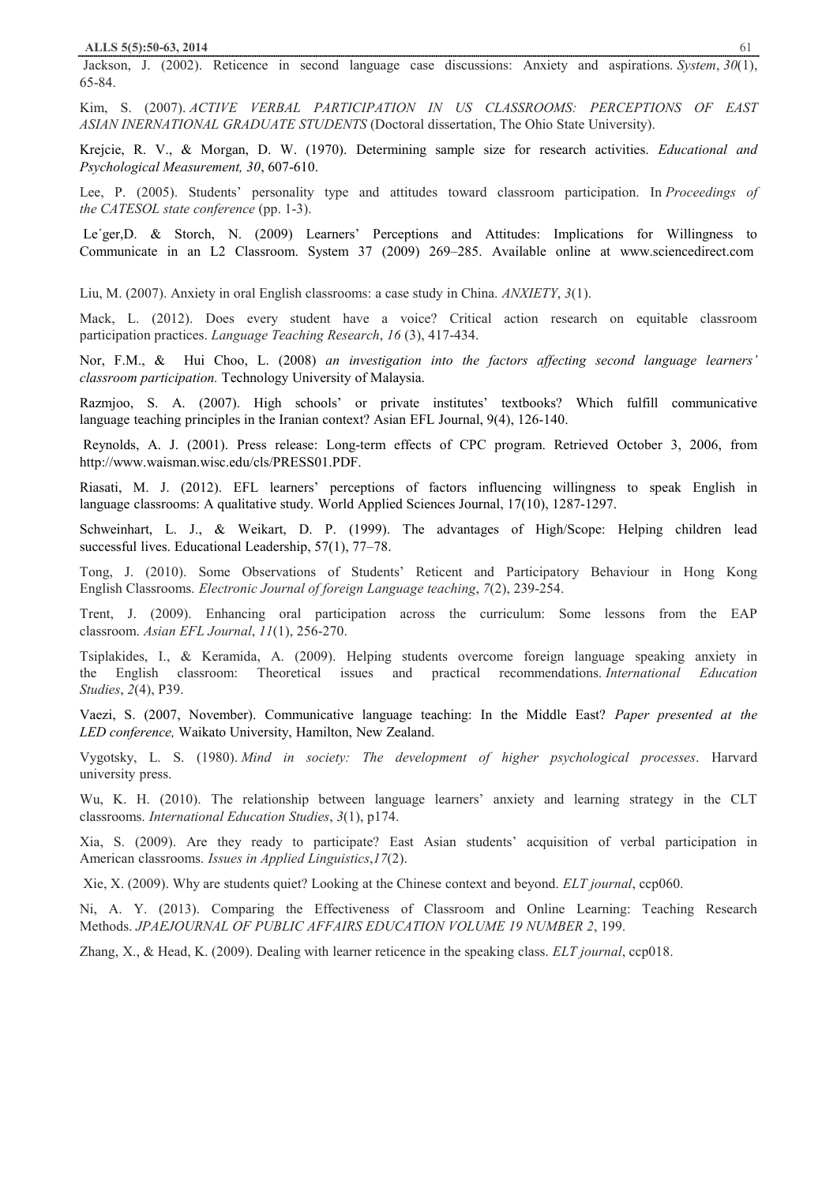Jackson, J. (2002). Reticence in second language case discussions: Anxiety and aspirations. *System*, *30*(1), 65-84.

Kim, S. (2007). *ACTIVE VERBAL PARTICIPATION IN US CLASSROOMS: PERCEPTIONS OF EAST ASIAN INERNATIONAL GRADUATE STUDENTS* (Doctoral dissertation, The Ohio State University).

Krejcie, R. V., & Morgan, D. W. (1970). Determining sample size for research activities. *Educational and Psychological Measurement, 30*, 607-610.

Lee, P. (2005). Students' personality type and attitudes toward classroom participation. In *Proceedings of the CATESOL state conference* (pp. 1-3).

Le´ger,D. & Storch, N. (2009) Learners' Perceptions and Attitudes: Implications for Willingness to Communicate in an L2 Classroom. System 37 (2009) 269–285. Available online at www.sciencedirect.com

Liu, M. (2007). Anxiety in oral English classrooms: a case study in China. *ANXIETY*, *3*(1).

Mack, L. (2012). Does every student have a voice? Critical action research on equitable classroom participation practices. *Language Teaching Research*, *16* (3), 417-434.

Nor, F.M., & Hui Choo, L. (2008) *an investigation into the factors affecting second language learners' classroom participation.* Technology University of Malaysia.

Razmjoo, S. A. (2007). High schools' or private institutes' textbooks? Which fulfill communicative language teaching principles in the Iranian context? Asian EFL Journal, 9(4), 126-140.

Reynolds, A. J. (2001). Press release: Long-term effects of CPC program. Retrieved October 3, 2006, from http://www.waisman.wisc.edu/cls/PRESS01.PDF.

Riasati, M. J. (2012). EFL learners' perceptions of factors influencing willingness to speak English in language classrooms: A qualitative study. World Applied Sciences Journal, 17(10), 1287-1297.

Schweinhart, L. J., & Weikart, D. P. (1999). The advantages of High/Scope: Helping children lead successful lives. Educational Leadership, 57(1), 77–78.

Tong, J. (2010). Some Observations of Students' Reticent and Participatory Behaviour in Hong Kong English Classrooms. *Electronic Journal of foreign Language teaching*, *7*(2), 239-254.

Trent, J. (2009). Enhancing oral participation across the curriculum: Some lessons from the EAP classroom. *Asian EFL Journal*, *11*(1), 256-270.

Tsiplakides, I., & Keramida, A. (2009). Helping students overcome foreign language speaking anxiety in the English classroom: Theoretical issues and practical recommendations. *International Education Studies*, *2*(4), P39.

Vaezi, S. (2007, November). Communicative language teaching: In the Middle East? *Paper presented at the LED conference,* Waikato University, Hamilton, New Zealand.

Vygotsky, L. S. (1980). *Mind in society: The development of higher psychological processes*. Harvard university press.

Wu, K. H. (2010). The relationship between language learners' anxiety and learning strategy in the CLT classrooms. *International Education Studies*, *3*(1), p174.

Xia, S. (2009). Are they ready to participate? East Asian students' acquisition of verbal participation in American classrooms. *Issues in Applied Linguistics*,*17*(2).

Xie, X. (2009). Why are students quiet? Looking at the Chinese context and beyond. *ELT journal*, ccp060.

Ni, A. Y. (2013). Comparing the Effectiveness of Classroom and Online Learning: Teaching Research Methods. *JPAEJOURNAL OF PUBLIC AFFAIRS EDUCATION VOLUME 19 NUMBER 2*, 199.

Zhang, X., & Head, K. (2009). Dealing with learner reticence in the speaking class. *ELT journal*, ccp018.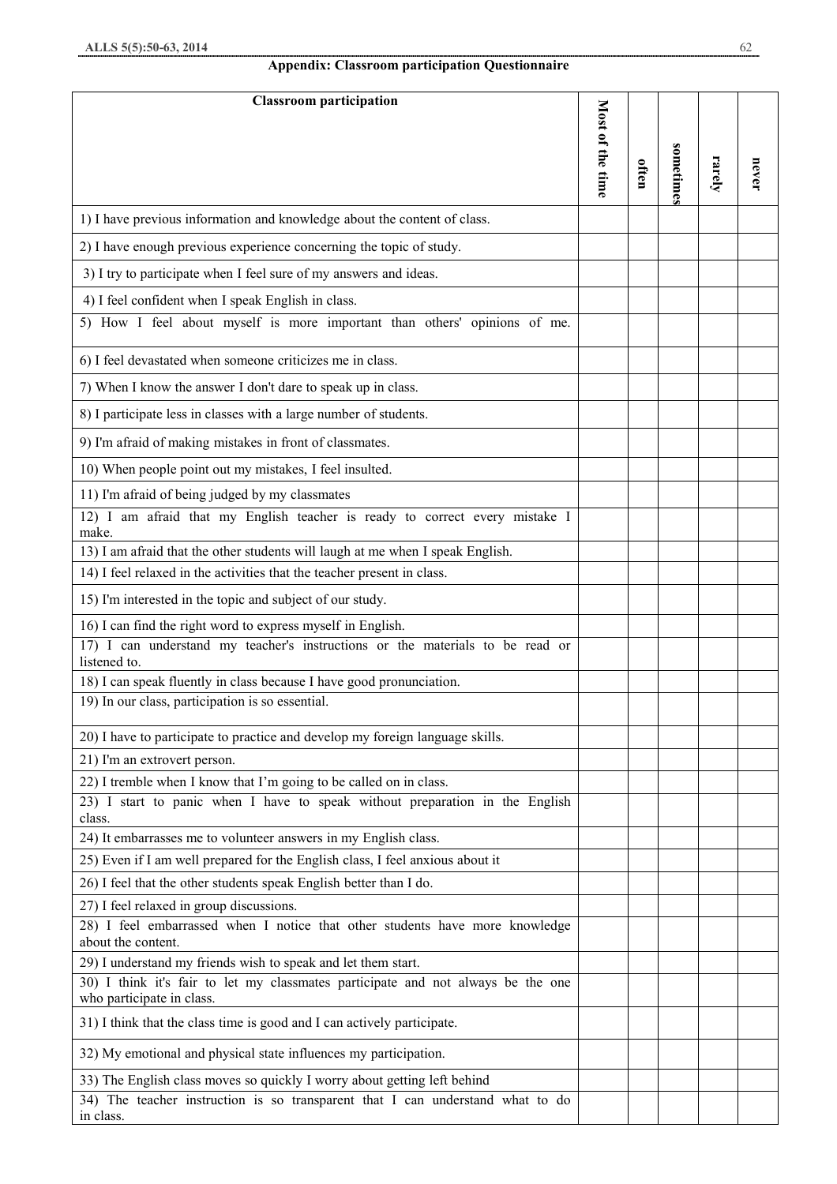# **Appendix: Classroom participation Questionnaire**

| <b>Classroom participation</b>                                                                                |                  |       |           |        |       |
|---------------------------------------------------------------------------------------------------------------|------------------|-------|-----------|--------|-------|
|                                                                                                               | Most of the time |       |           |        |       |
|                                                                                                               |                  |       |           |        |       |
|                                                                                                               |                  | often | sometimes | rarely | never |
|                                                                                                               |                  |       |           |        |       |
| 1) I have previous information and knowledge about the content of class.                                      |                  |       |           |        |       |
| 2) I have enough previous experience concerning the topic of study.                                           |                  |       |           |        |       |
| 3) I try to participate when I feel sure of my answers and ideas.                                             |                  |       |           |        |       |
| 4) I feel confident when I speak English in class.                                                            |                  |       |           |        |       |
| 5) How I feel about myself is more important than others' opinions of me.                                     |                  |       |           |        |       |
| 6) I feel devastated when someone criticizes me in class.                                                     |                  |       |           |        |       |
| 7) When I know the answer I don't dare to speak up in class.                                                  |                  |       |           |        |       |
| 8) I participate less in classes with a large number of students.                                             |                  |       |           |        |       |
| 9) I'm afraid of making mistakes in front of classmates.                                                      |                  |       |           |        |       |
| 10) When people point out my mistakes, I feel insulted.                                                       |                  |       |           |        |       |
| 11) I'm afraid of being judged by my classmates                                                               |                  |       |           |        |       |
| am afraid that my English teacher is ready to correct every mistake I<br>$12)$ I<br>make.                     |                  |       |           |        |       |
| 13) I am afraid that the other students will laugh at me when I speak English.                                |                  |       |           |        |       |
| 14) I feel relaxed in the activities that the teacher present in class.                                       |                  |       |           |        |       |
| 15) I'm interested in the topic and subject of our study.                                                     |                  |       |           |        |       |
| 16) I can find the right word to express myself in English.                                                   |                  |       |           |        |       |
| 17) I can understand my teacher's instructions or the materials to be read or<br>listened to.                 |                  |       |           |        |       |
| 18) I can speak fluently in class because I have good pronunciation.                                          |                  |       |           |        |       |
| 19) In our class, participation is so essential.                                                              |                  |       |           |        |       |
| 20) I have to participate to practice and develop my foreign language skills.                                 |                  |       |           |        |       |
| 21) I'm an extrovert person.                                                                                  |                  |       |           |        |       |
| 22) I tremble when I know that I'm going to be called on in class.                                            |                  |       |           |        |       |
| 23) I start to panic when I have to speak without preparation in the English<br>class.                        |                  |       |           |        |       |
| 24) It embarrasses me to volunteer answers in my English class.                                               |                  |       |           |        |       |
| 25) Even if I am well prepared for the English class, I feel anxious about it                                 |                  |       |           |        |       |
| 26) I feel that the other students speak English better than I do.                                            |                  |       |           |        |       |
| 27) I feel relaxed in group discussions.                                                                      |                  |       |           |        |       |
| 28) I feel embarrassed when I notice that other students have more knowledge<br>about the content.            |                  |       |           |        |       |
| 29) I understand my friends wish to speak and let them start.                                                 |                  |       |           |        |       |
| 30) I think it's fair to let my classmates participate and not always be the one<br>who participate in class. |                  |       |           |        |       |
| 31) I think that the class time is good and I can actively participate.                                       |                  |       |           |        |       |
| 32) My emotional and physical state influences my participation.                                              |                  |       |           |        |       |
| 33) The English class moves so quickly I worry about getting left behind                                      |                  |       |           |        |       |
| 34) The teacher instruction is so transparent that I can understand what to do<br>in class.                   |                  |       |           |        |       |